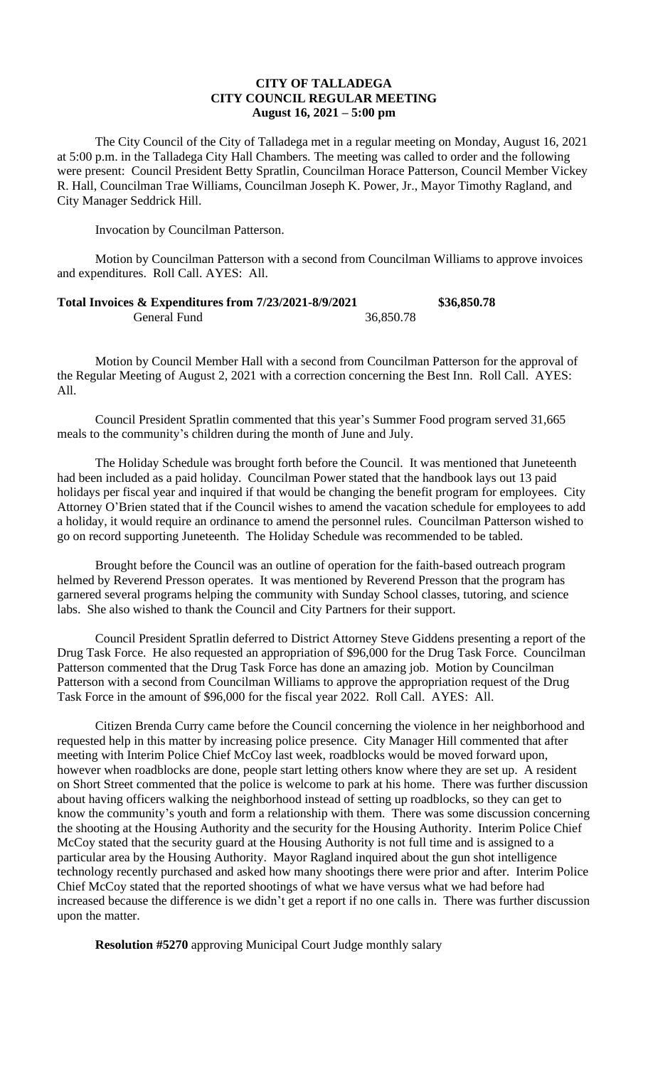## **CITY OF TALLADEGA CITY COUNCIL REGULAR MEETING August 16, 2021 – 5:00 pm**

The City Council of the City of Talladega met in a regular meeting on Monday, August 16, 2021 at 5:00 p.m. in the Talladega City Hall Chambers. The meeting was called to order and the following were present: Council President Betty Spratlin, Councilman Horace Patterson, Council Member Vickey R. Hall, Councilman Trae Williams, Councilman Joseph K. Power, Jr., Mayor Timothy Ragland, and City Manager Seddrick Hill.

Invocation by Councilman Patterson.

Motion by Councilman Patterson with a second from Councilman Williams to approve invoices and expenditures. Roll Call. AYES: All.

| Total Invoices & Expenditures from 7/23/2021-8/9/2021 |           | \$36,850.78 |
|-------------------------------------------------------|-----------|-------------|
| General Fund                                          | 36,850.78 |             |

Motion by Council Member Hall with a second from Councilman Patterson for the approval of the Regular Meeting of August 2, 2021 with a correction concerning the Best Inn. Roll Call. AYES: All.

Council President Spratlin commented that this year's Summer Food program served 31,665 meals to the community's children during the month of June and July.

The Holiday Schedule was brought forth before the Council. It was mentioned that Juneteenth had been included as a paid holiday. Councilman Power stated that the handbook lays out 13 paid holidays per fiscal year and inquired if that would be changing the benefit program for employees. City Attorney O'Brien stated that if the Council wishes to amend the vacation schedule for employees to add a holiday, it would require an ordinance to amend the personnel rules. Councilman Patterson wished to go on record supporting Juneteenth. The Holiday Schedule was recommended to be tabled.

Brought before the Council was an outline of operation for the faith-based outreach program helmed by Reverend Presson operates. It was mentioned by Reverend Presson that the program has garnered several programs helping the community with Sunday School classes, tutoring, and science labs. She also wished to thank the Council and City Partners for their support.

Council President Spratlin deferred to District Attorney Steve Giddens presenting a report of the Drug Task Force. He also requested an appropriation of \$96,000 for the Drug Task Force. Councilman Patterson commented that the Drug Task Force has done an amazing job. Motion by Councilman Patterson with a second from Councilman Williams to approve the appropriation request of the Drug Task Force in the amount of \$96,000 for the fiscal year 2022. Roll Call. AYES: All.

Citizen Brenda Curry came before the Council concerning the violence in her neighborhood and requested help in this matter by increasing police presence. City Manager Hill commented that after meeting with Interim Police Chief McCoy last week, roadblocks would be moved forward upon, however when roadblocks are done, people start letting others know where they are set up. A resident on Short Street commented that the police is welcome to park at his home. There was further discussion about having officers walking the neighborhood instead of setting up roadblocks, so they can get to know the community's youth and form a relationship with them. There was some discussion concerning the shooting at the Housing Authority and the security for the Housing Authority. Interim Police Chief McCoy stated that the security guard at the Housing Authority is not full time and is assigned to a particular area by the Housing Authority. Mayor Ragland inquired about the gun shot intelligence technology recently purchased and asked how many shootings there were prior and after. Interim Police Chief McCoy stated that the reported shootings of what we have versus what we had before had increased because the difference is we didn't get a report if no one calls in. There was further discussion upon the matter.

**Resolution #5270** approving Municipal Court Judge monthly salary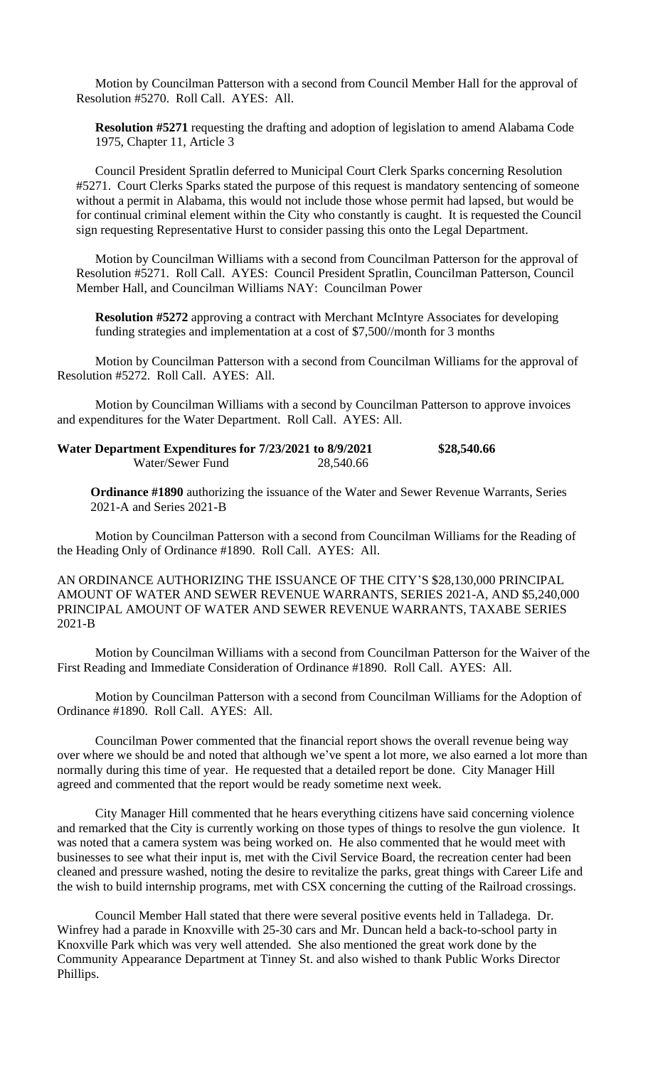Motion by Councilman Patterson with a second from Council Member Hall for the approval of Resolution #5270. Roll Call. AYES: All.

**Resolution #5271** requesting the drafting and adoption of legislation to amend Alabama Code 1975, Chapter 11, Article 3

Council President Spratlin deferred to Municipal Court Clerk Sparks concerning Resolution #5271. Court Clerks Sparks stated the purpose of this request is mandatory sentencing of someone without a permit in Alabama, this would not include those whose permit had lapsed, but would be for continual criminal element within the City who constantly is caught. It is requested the Council sign requesting Representative Hurst to consider passing this onto the Legal Department.

Motion by Councilman Williams with a second from Councilman Patterson for the approval of Resolution #5271. Roll Call. AYES: Council President Spratlin, Councilman Patterson, Council Member Hall, and Councilman Williams NAY: Councilman Power

**Resolution #5272** approving a contract with Merchant McIntyre Associates for developing funding strategies and implementation at a cost of \$7,500//month for 3 months

Motion by Councilman Patterson with a second from Councilman Williams for the approval of Resolution #5272. Roll Call. AYES: All.

Motion by Councilman Williams with a second by Councilman Patterson to approve invoices and expenditures for the Water Department. Roll Call. AYES: All.

| Water Department Expenditures for 7/23/2021 to 8/9/2021 |           | \$28,540.66 |
|---------------------------------------------------------|-----------|-------------|
| Water/Sewer Fund                                        | 28,540.66 |             |

**Ordinance #1890** authorizing the issuance of the Water and Sewer Revenue Warrants, Series 2021-A and Series 2021-B

Motion by Councilman Patterson with a second from Councilman Williams for the Reading of the Heading Only of Ordinance #1890. Roll Call. AYES: All.

AN ORDINANCE AUTHORIZING THE ISSUANCE OF THE CITY'S \$28,130,000 PRINCIPAL AMOUNT OF WATER AND SEWER REVENUE WARRANTS, SERIES 2021-A, AND \$5,240,000 PRINCIPAL AMOUNT OF WATER AND SEWER REVENUE WARRANTS, TAXABE SERIES 2021-B

Motion by Councilman Williams with a second from Councilman Patterson for the Waiver of the First Reading and Immediate Consideration of Ordinance #1890. Roll Call. AYES: All.

Motion by Councilman Patterson with a second from Councilman Williams for the Adoption of Ordinance #1890. Roll Call. AYES: All.

Councilman Power commented that the financial report shows the overall revenue being way over where we should be and noted that although we've spent a lot more, we also earned a lot more than normally during this time of year. He requested that a detailed report be done. City Manager Hill agreed and commented that the report would be ready sometime next week.

City Manager Hill commented that he hears everything citizens have said concerning violence and remarked that the City is currently working on those types of things to resolve the gun violence. It was noted that a camera system was being worked on. He also commented that he would meet with businesses to see what their input is, met with the Civil Service Board, the recreation center had been cleaned and pressure washed, noting the desire to revitalize the parks, great things with Career Life and the wish to build internship programs, met with CSX concerning the cutting of the Railroad crossings.

Council Member Hall stated that there were several positive events held in Talladega. Dr. Winfrey had a parade in Knoxville with 25-30 cars and Mr. Duncan held a back-to-school party in Knoxville Park which was very well attended. She also mentioned the great work done by the Community Appearance Department at Tinney St. and also wished to thank Public Works Director Phillips.